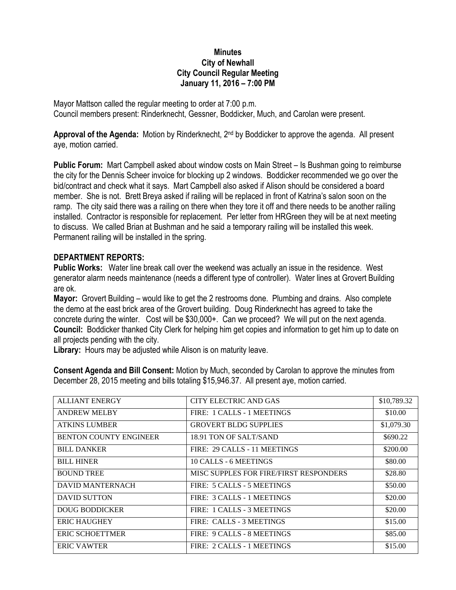## **Minutes City of Newhall City Council Regular Meeting January 11, 2016 – 7:00 PM**

Mayor Mattson called the regular meeting to order at 7:00 p.m. Council members present: Rinderknecht, Gessner, Boddicker, Much, and Carolan were present.

**Approval of the Agenda:** Motion by Rinderknecht, 2nd by Boddicker to approve the agenda. All present aye, motion carried.

**Public Forum:** Mart Campbell asked about window costs on Main Street – Is Bushman going to reimburse the city for the Dennis Scheer invoice for blocking up 2 windows. Boddicker recommended we go over the bid/contract and check what it says. Mart Campbell also asked if Alison should be considered a board member. She is not. Brett Breya asked if railing will be replaced in front of Katrina's salon soon on the ramp. The city said there was a railing on there when they tore it off and there needs to be another railing installed. Contractor is responsible for replacement. Per letter from HRGreen they will be at next meeting to discuss. We called Brian at Bushman and he said a temporary railing will be installed this week. Permanent railing will be installed in the spring.

## **DEPARTMENT REPORTS:**

**Public Works:** Water line break call over the weekend was actually an issue in the residence. West generator alarm needs maintenance (needs a different type of controller). Water lines at Grovert Building are ok.

**Mayor:** Grovert Building – would like to get the 2 restrooms done. Plumbing and drains. Also complete the demo at the east brick area of the Grovert building. Doug Rinderknecht has agreed to take the concrete during the winter. Cost will be \$30,000+. Can we proceed? We will put on the next agenda. **Council:** Boddicker thanked City Clerk for helping him get copies and information to get him up to date on all projects pending with the city.

**Library:** Hours may be adjusted while Alison is on maturity leave.

**Consent Agenda and Bill Consent:** Motion by Much, seconded by Carolan to approve the minutes from December 28, 2015 meeting and bills totaling \$15,946.37. All present aye, motion carried.

| <b>ALLIANT ENERGY</b>         | CITY ELECTRIC AND GAS                         | \$10,789.32 |
|-------------------------------|-----------------------------------------------|-------------|
| <b>ANDREW MELBY</b>           | FIRE: 1 CALLS - 1 MEETINGS                    | \$10.00     |
| <b>ATKINS LUMBER</b>          | <b>GROVERT BLDG SUPPLIES</b>                  | \$1,079.30  |
| <b>BENTON COUNTY ENGINEER</b> | 18.91 TON OF SALT/SAND                        | \$690.22    |
| <b>BILL DANKER</b>            | FIRE: 29 CALLS - 11 MEETINGS                  | \$200.00    |
| <b>BILL HINER</b>             | 10 CALLS - 6 MEETINGS                         | \$80.00     |
| <b>BOUND TREE</b>             | <b>MISC SUPPLES FOR FIRE/FIRST RESPONDERS</b> | \$28.80     |
| <b>DAVID MANTERNACH</b>       | FIRE: 5 CALLS - 5 MEETINGS                    | \$50.00     |
| <b>DAVID SUTTON</b>           | FIRE: 3 CALLS - 1 MEETINGS                    | \$20.00     |
| <b>DOUG BODDICKER</b>         | FIRE: 1 CALLS - 3 MEETINGS                    | \$20.00     |
| <b>ERIC HAUGHEY</b>           | FIRE: CALLS - 3 MEETINGS                      | \$15.00     |
| <b>ERIC SCHOETTMER</b>        | FIRE: 9 CALLS - 8 MEETINGS                    | \$85.00     |
| <b>ERIC VAWTER</b>            | FIRE: 2 CALLS - 1 MEETINGS                    | \$15.00     |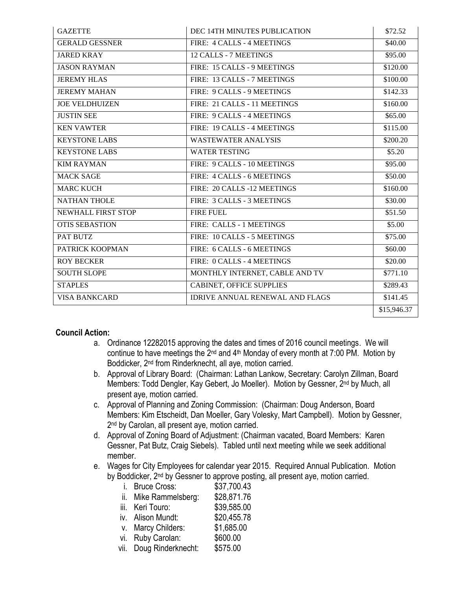| <b>GAZETTE</b>        | DEC 14TH MINUTES PUBLICATION           | \$72.52     |
|-----------------------|----------------------------------------|-------------|
| <b>GERALD GESSNER</b> | FIRE: 4 CALLS - 4 MEETINGS             | \$40.00     |
| <b>JARED KRAY</b>     | 12 CALLS - 7 MEETINGS                  | \$95.00     |
| <b>JASON RAYMAN</b>   | FIRE: 15 CALLS - 9 MEETINGS            | \$120.00    |
| <b>JEREMY HLAS</b>    | FIRE: 13 CALLS - 7 MEETINGS            | \$100.00    |
| <b>JEREMY MAHAN</b>   | FIRE: 9 CALLS - 9 MEETINGS             | \$142.33    |
| <b>JOE VELDHUIZEN</b> | FIRE: 21 CALLS - 11 MEETINGS           | \$160.00    |
| <b>JUSTIN SEE</b>     | FIRE: 9 CALLS - 4 MEETINGS             | \$65.00     |
| <b>KEN VAWTER</b>     | FIRE: 19 CALLS - 4 MEETINGS            | \$115.00    |
| <b>KEYSTONE LABS</b>  | <b>WASTEWATER ANALYSIS</b>             | \$200.20    |
| <b>KEYSTONE LABS</b>  | <b>WATER TESTING</b>                   | \$5.20      |
| <b>KIM RAYMAN</b>     | FIRE: 9 CALLS - 10 MEETINGS            | \$95.00     |
| <b>MACK SAGE</b>      | FIRE: 4 CALLS - 6 MEETINGS             | \$50.00     |
| <b>MARC KUCH</b>      | FIRE: 20 CALLS -12 MEETINGS            | \$160.00    |
| <b>NATHAN THOLE</b>   | FIRE: 3 CALLS - 3 MEETINGS             | \$30.00     |
| NEWHALL FIRST STOP    | <b>FIRE FUEL</b>                       | \$51.50     |
| <b>OTIS SEBASTION</b> | FIRE: CALLS - 1 MEETINGS               | \$5.00      |
| PAT BUTZ              | FIRE: 10 CALLS - 5 MEETINGS            | \$75.00     |
| PATRICK KOOPMAN       | FIRE: 6 CALLS - 6 MEETINGS             | \$60.00     |
| <b>ROY BECKER</b>     | FIRE: 0 CALLS - 4 MEETINGS             | \$20.00     |
| <b>SOUTH SLOPE</b>    | MONTHLY INTERNET, CABLE AND TV         | \$771.10    |
| <b>STAPLES</b>        | <b>CABINET, OFFICE SUPPLIES</b>        | \$289.43    |
| <b>VISA BANKCARD</b>  | <b>IDRIVE ANNUAL RENEWAL AND FLAGS</b> | \$141.45    |
|                       |                                        | \$15,946.37 |

## **Council Action:**

- a. Ordinance 12282015 approving the dates and times of 2016 council meetings. We will continue to have meetings the  $2^{nd}$  and  $4^{th}$  Monday of every month at 7:00 PM. Motion by Boddicker, 2nd from Rinderknecht, all aye, motion carried.
- b. Approval of Library Board: (Chairman: Lathan Lankow, Secretary: Carolyn Zillman, Board Members: Todd Dengler, Kay Gebert, Jo Moeller). Motion by Gessner, 2nd by Much, all present aye, motion carried.
- c. Approval of Planning and Zoning Commission: (Chairman: Doug Anderson, Board Members: Kim Etscheidt, Dan Moeller, Gary Volesky, Mart Campbell). Motion by Gessner, 2<sup>nd</sup> by Carolan, all present aye, motion carried.
- d. Approval of Zoning Board of Adjustment: (Chairman vacated, Board Members: Karen Gessner, Pat Butz, Craig Siebels). Tabled until next meeting while we seek additional member.
- e. Wages for City Employees for calendar year 2015. Required Annual Publication. Motion by Boddicker, 2<sup>nd</sup> by Gessner to approve posting, all present aye, motion carried.

| İ. | <b>Bruce Cross:</b>     | \$37,700.43 |
|----|-------------------------|-------------|
|    | ii. Mike Rammelsberg:   | \$28,871.76 |
|    | iii. Keri Touro:        | \$39,585.00 |
|    | iv. Alison Mundt:       | \$20,455.78 |
|    | v. Marcy Childers:      | \$1,685.00  |
|    | vi. Ruby Carolan:       | \$600.00    |
|    | vii. Doug Rinderknecht: | \$575.00    |
|    |                         |             |